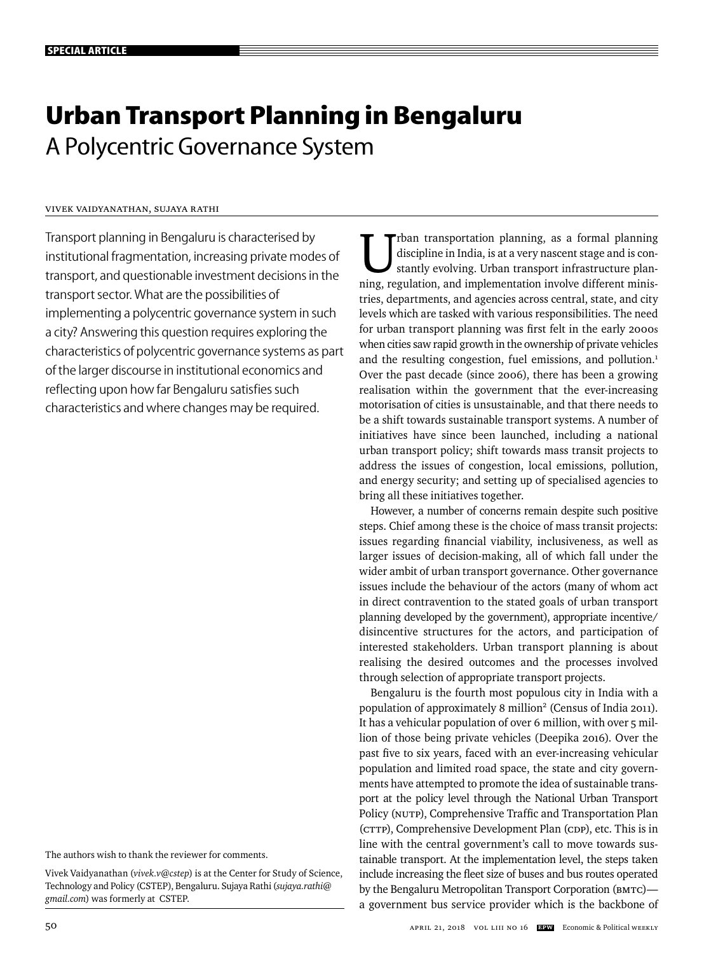# **Urban Transport Planning in Bengaluru** A Polycentric Governance System

# Vivek Vaidyanathan, Sujaya Rathi

Transport planning in Bengaluru is characterised by institutional fragmentation, increasing private modes of transport, and questionable investment decisions in the transport sector. What are the possibilities of implementing a polycentric governance system in such a city? Answering this question requires exploring the characteristics of polycentric governance systems as part of the larger discourse in institutional economics and reflecting upon how far Bengaluru satisfies such characteristics and where changes may be required.

The authors wish to thank the reviewer for comments.

Vivek Vaidyanathan (*vivek.v@cstep*) is at the Center for Study of Science, Technology and Policy (CSTEP), Bengaluru. Sujaya Rathi (*sujaya.rathi@ gmail.com*) was formerly at CSTEP.

rban transportation planning, as a formal planning discipline in India, is at a very nascent stage and is constantly evolving. Urban transport infrastructure planning, regulation, and implementation involve different ministries, departments, and agencies across central, state, and city levels which are tasked with various responsibilities. The need for urban transport planning was first felt in the early 2000s when cities saw rapid growth in the ownership of private vehicles and the resulting congestion, fuel emissions, and pollution.<sup>1</sup> Over the past decade (since 2006), there has been a growing realisation within the government that the ever-increasing motorisation of cities is unsustainable, and that there needs to be a shift towards sustainable transport systems. A number of initiatives have since been launched, including a national urban transport policy; shift towards mass transit projects to address the issues of congestion, local emissions, pollution, and energy security; and setting up of specialised agencies to bring all these initiatives together.

However, a number of concerns remain despite such positive steps. Chief among these is the choice of mass transit projects: issues regarding financial viability, inclusiveness, as well as larger issues of decision-making, all of which fall under the wider ambit of urban transport governance. Other governance issues include the behaviour of the actors (many of whom act in direct contravention to the stated goals of urban transport planning developed by the government), appropriate incentive/ disincentive structures for the actors, and participation of interested stakeholders. Urban transport planning is about realising the desired outcomes and the processes involved through selection of appropriate transport projects.

Bengaluru is the fourth most populous city in India with a population of approximately 8 million<sup>2</sup> (Census of India 2011). It has a vehicular population of over 6 million, with over 5 million of those being private vehicles (Deepika 2016). Over the past five to six years, faced with an ever-increasing vehicular population and limited road space, the state and city governments have attempted to promote the idea of sustainable transport at the policy level through the National Urban Transport Policy (NUTP), Comprehensive Traffic and Transportation Plan (CTTP), Comprehensive Development Plan (CDP), etc. This is in line with the central government's call to move towards sustainable transport. At the implementation level, the steps taken include increasing the fleet size of buses and bus routes operated by the Bengaluru Metropolitan Transport Corporation (BMTC) a government bus service provider which is the backbone of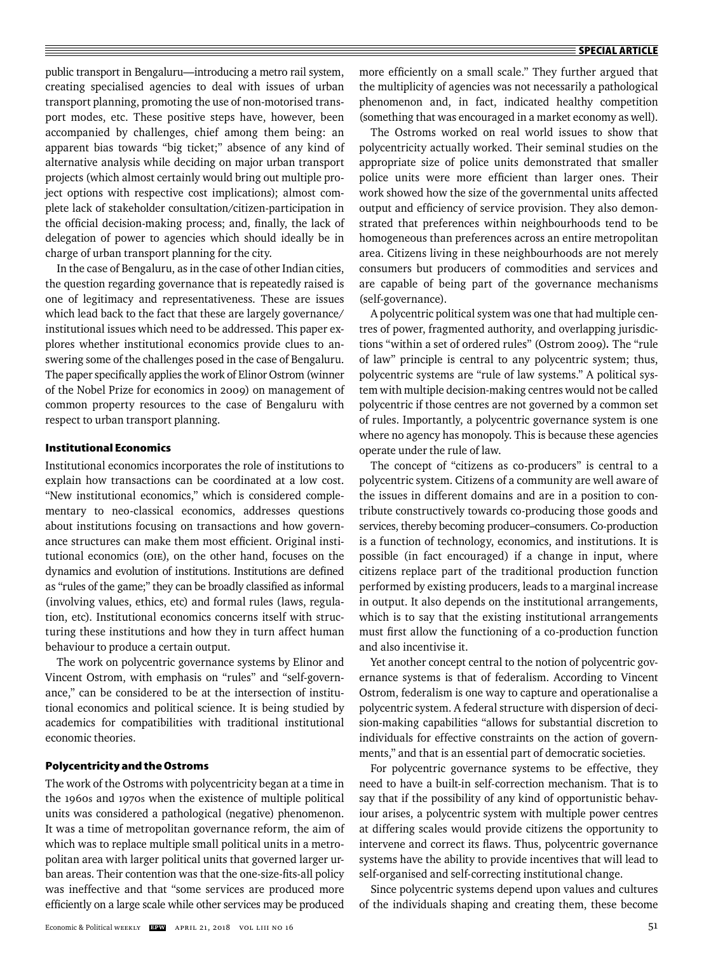public transport in Bengaluru—introducing a metro rail system, creating specialised agencies to deal with issues of urban transport planning, promoting the use of non-motorised transport modes, etc. These positive steps have, however, been accompanied by challenges, chief among them being: an apparent bias towards "big ticket;" absence of any kind of alternative analysis while deciding on major urban transport projects (which almost certainly would bring out multiple project options with respective cost implications); almost complete lack of stakeholder consultation/citizen-participation in the official decision-making process; and, finally, the lack of delegation of power to agencies which should ideally be in charge of urban transport planning for the city.

In the case of Bengaluru, as in the case of other Indian cities, the question regarding governance that is repeatedly raised is one of legitimacy and representativeness. These are issues which lead back to the fact that these are largely governance/ institutional issues which need to be addressed. This paper explores whether institutional economics provide clues to answering some of the challenges posed in the case of Bengaluru. The paper specifically applies the work of Elinor Ostrom (winner of the Nobel Prize for economics in 2009) on management of common property resources to the case of Bengaluru with respect to urban transport planning.

# **Institutional Economics**

Institutional economics incorporates the role of institutions to explain how transactions can be coordinated at a low cost. "New institutional economics," which is considered complementary to neo-classical economics, addresses questions about institutions focusing on transactions and how governance structures can make them most efficient. Original institutional economics (OIE), on the other hand, focuses on the dynamics and evolution of institutions. Institutions are defined as "rules of the game;" they can be broadly classified as informal (involving values, ethics, etc) and formal rules (laws, regulation, etc). Institutional economics concerns itself with structuring these institutions and how they in turn affect human behaviour to produce a certain output.

The work on polycentric governance systems by Elinor and Vincent Ostrom, with emphasis on "rules" and "self-governance," can be considered to be at the intersection of institutional economics and political science. It is being studied by academics for compatibilities with traditional institutional economic theories.

# **Polycentricity and the Ostroms**

The work of the Ostroms with polycentricity began at a time in the 1960s and 1970s when the existence of multiple political units was considered a pathological (negative) phenomenon. It was a time of metropolitan governance reform, the aim of which was to replace multiple small political units in a metropolitan area with larger political units that governed larger urban areas. Their contention was that the one-size-fits-all policy was ineffective and that "some services are produced more efficiently on a large scale while other services may be produced more efficiently on a small scale." They further argued that the multiplicity of agencies was not necessarily a pathological phenomenon and, in fact, indicated healthy competition (something that was encouraged in a market economy as well).

The Ostroms worked on real world issues to show that polycentricity actually worked. Their seminal studies on the appropriate size of police units demonstrated that smaller police units were more efficient than larger ones. Their work showed how the size of the governmental units affected output and efficiency of service provision. They also demonstrated that preferences within neighbourhoods tend to be homogeneous than preferences across an entire metropolitan area. Citizens living in these neighbourhoods are not merely consumers but producers of commodities and services and are capable of being part of the governance mechanisms (self-governance).

A polycentric political system was one that had multiple centres of power, fragmented authority, and overlapping jurisdictions "within a set of ordered rules" (Ostrom 2009)*.* The "rule of law" principle is central to any polycentric system; thus, polycentric systems are "rule of law systems." A political system with multiple decision-making centres would not be called polycentric if those centres are not governed by a common set of rules. Importantly, a polycentric governance system is one where no agency has monopoly. This is because these agencies operate under the rule of law.

The concept of "citizens as co-producers" is central to a polycentric system. Citizens of a community are well aware of the issues in different domains and are in a position to contribute constructively towards co-producing those goods and services, thereby becoming producer–consumers. Co-production is a function of technology, economics, and institutions. It is possible (in fact encouraged) if a change in input, where citizens replace part of the traditional production function performed by existing producers, leads to a marginal increase in output. It also depends on the institutional arrangements, which is to say that the existing institutional arrangements must first allow the functioning of a co-production function and also incentivise it.

Yet another concept central to the notion of polycentric governance systems is that of federalism. According to Vincent Ostrom, federalism is one way to capture and operationalise a polycentric system. A federal structure with dispersion of decision-making capabilities "allows for substantial discretion to individuals for effective constraints on the action of governments," and that is an essential part of democratic societies.

For polycentric governance systems to be effective, they need to have a built-in self-correction mechanism. That is to say that if the possibility of any kind of opportunistic behaviour arises, a polycentric system with multiple power centres at differing scales would provide citizens the opportunity to intervene and correct its flaws. Thus, polycentric governance systems have the ability to provide incentives that will lead to self-organised and self-correcting institutional change.

Since polycentric systems depend upon values and cultures of the individuals shaping and creating them, these become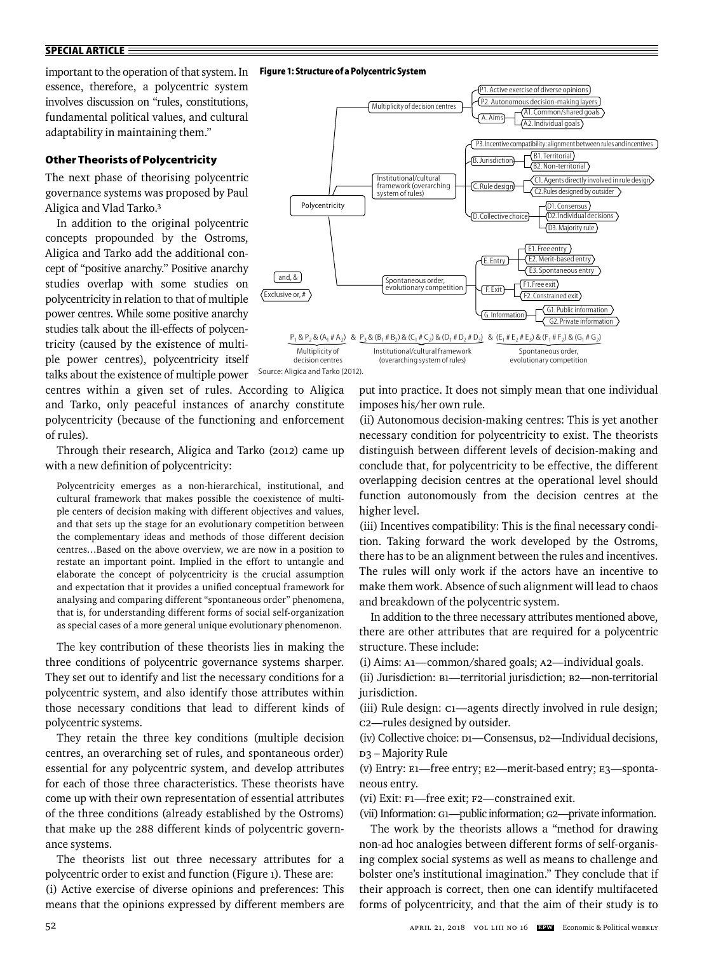# important to the operation of that system. In essence, therefore, a polycentric system involves discussion on "rules, constitutions, fundamental political values, and cultural adaptability in maintaining them."

# **Other Theorists of Polycentricity**

The next phase of theorising polycentric governance systems was proposed by Paul Aligica and Vlad Tarko.3

In addition to the original polycentric concepts propounded by the Ostroms, Aligica and Tarko add the additional concept of "positive anarchy." Positive anarchy studies overlap with some studies on polycentricity in relation to that of multiple power centres. While some positive anarchy studies talk about the ill-effects of polycentricity (caused by the existence of multiple power centres), polycentricity itself talks about the existence of multiple power

centres within a given set of rules. According to Aligica and Tarko, only peaceful instances of anarchy constitute polycentricity (because of the functioning and enforcement of rules).

Through their research, Aligica and Tarko (2012) came up with a new definition of polycentricity:

Polycentricity emerges as a non-hierarchical, institutional, and cultural framework that makes possible the coexistence of multiple centers of decision making with different objectives and values, and that sets up the stage for an evolutionary competition between the complementary ideas and methods of those different decision centres…Based on the above overview, we are now in a position to restate an important point. Implied in the effort to untangle and elaborate the concept of polycentricity is the crucial assumption and expectation that it provides a unified conceptual framework for analysing and comparing different "spontaneous order" phenomena, that is, for understanding different forms of social self-organization as special cases of a more general unique evolutionary phenomenon.

The key contribution of these theorists lies in making the three conditions of polycentric governance systems sharper. They set out to identify and list the necessary conditions for a polycentric system, and also identify those attributes within those necessary conditions that lead to different kinds of polycentric systems.

They retain the three key conditions (multiple decision centres, an overarching set of rules, and spontaneous order) essential for any polycentric system, and develop attributes for each of those three characteristics. These theorists have come up with their own representation of essential attributes of the three conditions (already established by the Ostroms) that make up the 288 different kinds of polycentric governance systems.

The theorists list out three necessary attributes for a polycentric order to exist and function (Figure 1). These are:

(i) Active exercise of diverse opinions and preferences: This means that the opinions expressed by different members are

**Fig ure 1: Structure of a Polycentric System**



Source: Aligica and Tarko (2012).

put into practice. It does not simply mean that one individual imposes his/her own rule.

(ii) Autonomous decision-making centres: This is yet another necessary condition for polycentricity to exist. The theorists distinguish between different levels of decision-making and conclude that, for polycentricity to be effective, the different overlapping decision centres at the operational level should function autonomously from the decision centres at the higher level.

(iii) Incentives compatibility: This is the final necessary condition. Taking forward the work developed by the Ostroms, there has to be an alignment between the rules and incentives. The rules will only work if the actors have an incentive to make them work. Absence of such alignment will lead to chaos and breakdown of the polycentric system.

In addition to the three necessary attributes mentioned above, there are other attributes that are required for a polycentric structure. These include:

(i) Aims: A1—common/shared goals; A2—individual goals.

(ii) Jurisdiction: B1—territorial jurisdiction; B2—non-territorial jurisdiction.

(iii) Rule design: C1—agents directly involved in rule design; C2—rules designed by outsider.

(iv) Collective choice: D1—Consensus, D2—Individual decisions, D3 – Majority Rule

(v) Entry: E1—free entry; E2—merit-based entry; E3—spontaneous entry.

(vi) Exit: F1—free exit; F2—constrained exit.

(vii) Information: G1—public information; G2—private information.

The work by the theorists allows a "method for drawing non-ad hoc analogies between different forms of self-organising complex social systems as well as means to challenge and bolster one's institutional imagination." They conclude that if their approach is correct, then one can identify multifaceted forms of polycentricity, and that the aim of their study is to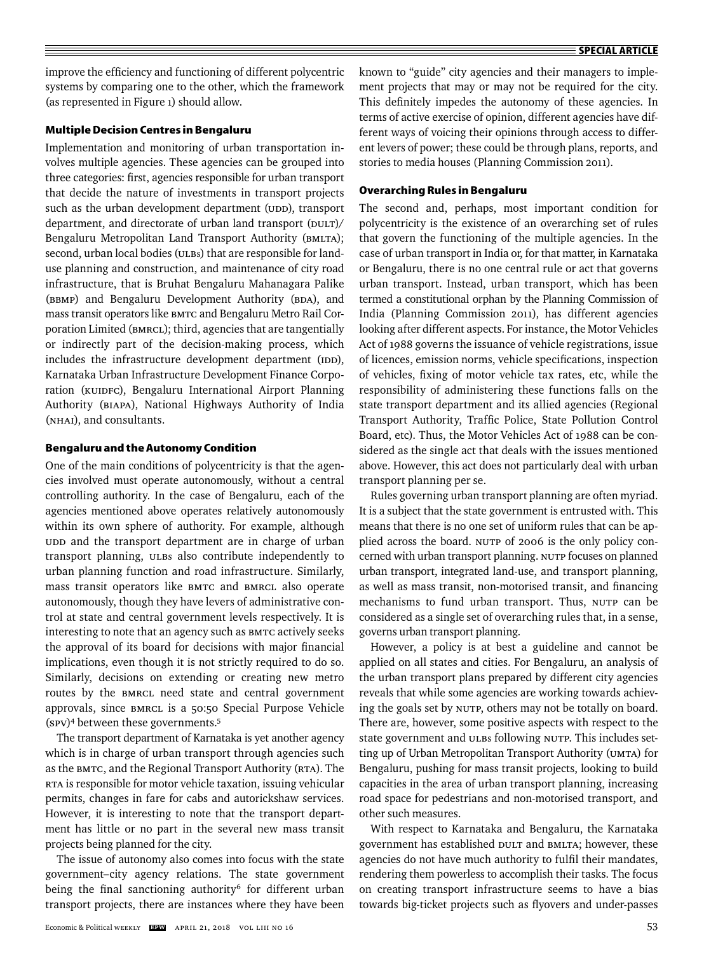improve the efficiency and functioning of different polycentric systems by comparing one to the other, which the framework (as represented in Figure 1) should allow.

#### **Multiple Decision Centres in Bengaluru**

Implementation and monitoring of urban transportation involves multiple agencies. These agencies can be grouped into three categories: first, agencies responsible for urban transport that decide the nature of investments in transport projects such as the urban development department (UDD), transport department, and directorate of urban land transport (DULT)/ Bengaluru Metropolitan Land Transport Authority (BMLTA); second, urban local bodies (ULBs) that are responsible for landuse planning and construction, and maintenance of city road infrastructure, that is Bruhat Bengaluru Mahanagara Palike (BBMP) and Bengaluru Development Authority (BDA), and mass transit operators like BMTC and Bengaluru Metro Rail Corporation Limited (BMRCL); third, agencies that are tangentially or indirectly part of the decision-making process, which includes the infrastructure development department (IDD), Karnataka Urban Infrastructure Development Finance Corporation (KUIDFC), Bengaluru International Airport Planning Authority (BIAPA), National Highways Authority of India (NHAI), and consultants.

## **Bengaluru and the Autonomy Condition**

One of the main conditions of polycentricity is that the agencies involved must operate autonomously, without a central controlling authority. In the case of Bengaluru, each of the agencies mentioned above operates relatively autonomously within its own sphere of authority. For example, although UDD and the transport department are in charge of urban transport planning, ULBs also contribute independently to urban planning function and road infrastructure. Similarly, mass transit operators like BMTC and BMRCL also operate autonomously, though they have levers of administrative control at state and central government levels respectively. It is interesting to note that an agency such as BMTC actively seeks the approval of its board for decisions with major financial implications, even though it is not strictly required to do so. Similarly, decisions on extending or creating new metro routes by the BMRCL need state and central government approvals, since BMRCL is a 50:50 Special Purpose Vehicle (SPV)4 between these governments.5

The transport department of Karnataka is yet another agency which is in charge of urban transport through agencies such as the BMTC, and the Regional Transport Authority (RTA). The RTA is responsible for motor vehicle taxation, issuing vehicular permits, changes in fare for cabs and autorickshaw services. However, it is interesting to note that the transport department has little or no part in the several new mass transit projects being planned for the city.

The issue of autonomy also comes into focus with the state government–city agency relations. The state government being the final sanctioning authority<sup>6</sup> for different urban transport projects, there are instances where they have been known to "guide" city agencies and their managers to implement projects that may or may not be required for the city. This definitely impedes the autonomy of these agencies. In terms of active exercise of opinion, different agencies have different ways of voicing their opinions through access to different levers of power; these could be through plans, reports, and stories to media houses (Planning Commission 2011).

#### **Overarching Rules in Bengaluru**

The second and, perhaps, most important condition for polycentricity is the existence of an overarching set of rules that govern the functioning of the multiple agencies. In the case of urban transport in India or, for that matter, in Karnataka or Bengaluru, there is no one central rule or act that governs urban transport. Instead, urban transport, which has been termed a constitutional orphan by the Planning Commission of India (Planning Commission 2011), has different agencies looking after different aspects. For instance, the Motor Vehicles Act of 1988 governs the issuance of vehicle registrations, issue of licences, emission norms, vehicle specifications, inspection of vehicles, fixing of motor vehicle tax rates, etc, while the responsibility of administering these functions falls on the state transport department and its allied agencies (Regional Transport Authority, Traffic Police, State Pollution Control Board, etc). Thus, the Motor Vehicles Act of 1988 can be considered as the single act that deals with the issues mentioned above. However, this act does not particularly deal with urban transport planning per se.

Rules governing urban transport planning are often myriad. It is a subject that the state government is entrusted with. This means that there is no one set of uniform rules that can be applied across the board. NUTP of 2006 is the only policy concerned with urban transport planning. NUTP focuses on planned urban transport, integrated land-use, and transport planning, as well as mass transit, non-motorised transit, and financing mechanisms to fund urban transport. Thus, NUTP can be considered as a single set of overarching rules that, in a sense, governs urban transport planning.

However, a policy is at best a guideline and cannot be applied on all states and cities. For Bengaluru, an analysis of the urban transport plans prepared by different city agencies reveals that while some agencies are working towards achieving the goals set by NUTP, others may not be totally on board. There are, however, some positive aspects with respect to the state government and ULBs following NUTP. This includes setting up of Urban Metropolitan Transport Authority (UMTA) for Bengaluru, pushing for mass transit projects, looking to build capacities in the area of urban transport planning, increasing road space for pedestrians and non-motorised transport, and other such measures.

With respect to Karnataka and Bengaluru, the Karnataka government has established DULT and BMLTA; however, these agencies do not have much authority to fulfil their mandates, rendering them powerless to accomplish their tasks. The focus on creating transport infrastructure seems to have a bias towards big-ticket projects such as flyovers and under-passes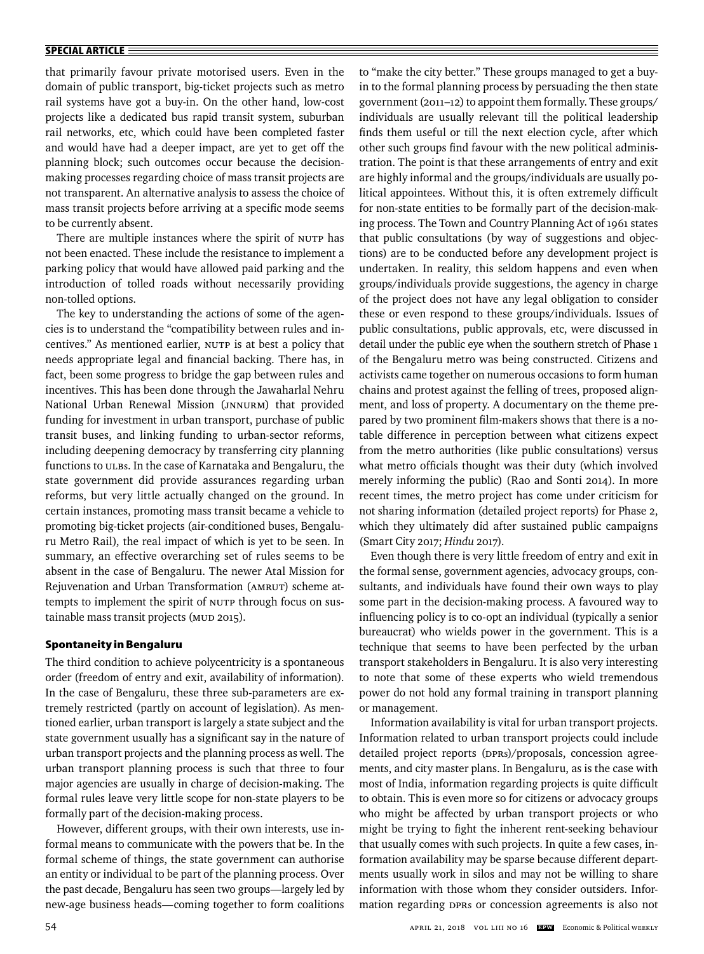#### **SPECIAL ARTICLE**

that primarily favour private motorised users. Even in the domain of public transport, big-ticket projects such as metro rail systems have got a buy-in. On the other hand, low-cost projects like a dedicated bus rapid transit system, suburban rail networks, etc, which could have been completed faster and would have had a deeper impact, are yet to get off the planning block; such outcomes occur because the decisionmaking processes regarding choice of mass transit projects are not transparent. An alternative analysis to assess the choice of mass transit projects before arriving at a specific mode seems to be currently absent.

There are multiple instances where the spirit of NUTP has not been enacted. These include the resistance to implement a parking policy that would have allowed paid parking and the introduction of tolled roads without necessarily providing non-tolled options.

The key to understanding the actions of some of the agencies is to understand the "compatibility between rules and incentives." As mentioned earlier, NUTP is at best a policy that needs appropriate legal and financial backing. There has, in fact, been some progress to bridge the gap between rules and incentives. This has been done through the Jawaharlal Nehru National Urban Renewal Mission (JNNURM) that provided funding for investment in urban transport, purchase of public transit buses, and linking funding to urban-sector reforms, including deepening democracy by transferring city planning functions to ULBs. In the case of Karnataka and Bengaluru, the state government did provide assurances regarding urban reforms, but very little actually changed on the ground. In certain instances, promoting mass transit became a vehicle to promoting big-ticket projects (air-conditioned buses, Bengaluru Metro Rail), the real impact of which is yet to be seen. In summary, an effective overarching set of rules seems to be absent in the case of Bengaluru. The newer Atal Mission for Rejuvenation and Urban Transformation (AMRUT) scheme attempts to implement the spirit of NUTP through focus on sustainable mass transit projects (MUD 2015).

## **Spontaneity in Bengaluru**

The third condition to achieve polycentricity is a spontaneous order (freedom of entry and exit, availability of information). In the case of Bengaluru, these three sub-parameters are extremely restricted (partly on account of legislation). As mentioned earlier, urban transport is largely a state subject and the state government usually has a significant say in the nature of urban transport projects and the planning process as well. The urban transport planning process is such that three to four major agencies are usually in charge of decision-making. The formal rules leave very little scope for non-state players to be formally part of the decision-making process.

However, different groups, with their own interests, use informal means to communicate with the powers that be. In the formal scheme of things, the state government can authorise an entity or individual to be part of the planning process. Over the past decade, Bengaluru has seen two groups—largely led by new-age business heads—coming together to form coalitions to "make the city better." These groups managed to get a buyin to the formal planning process by persuading the then state government (2011–12) to appoint them formally. These groups/ individuals are usually relevant till the political leadership finds them useful or till the next election cycle, after which other such groups find favour with the new political administration. The point is that these arrangements of entry and exit are highly informal and the groups/individuals are usually political appointees. Without this, it is often extremely difficult for non-state entities to be formally part of the decision-making process. The Town and Country Planning Act of 1961 states that public consultations (by way of suggestions and objections) are to be conducted before any development project is undertaken. In reality, this seldom happens and even when groups/individuals provide suggestions, the agency in charge of the project does not have any legal obligation to consider these or even respond to these groups/individuals. Issues of public consultations, public approvals, etc, were discussed in detail under the public eye when the southern stretch of Phase 1 of the Bengaluru metro was being constructed. Citizens and activists came together on numerous occasions to form human chains and protest against the felling of trees, proposed alignment, and loss of property. A documentary on the theme prepared by two prominent film-makers shows that there is a notable difference in perception between what citizens expect from the metro authorities (like public consultations) versus what metro officials thought was their duty (which involved merely informing the public) (Rao and Sonti 2014). In more recent times, the metro project has come under criticism for not sharing information (detailed project reports) for Phase 2, which they ultimately did after sustained public campaigns (Smart City 2017; *Hindu* 2017).

Even though there is very little freedom of entry and exit in the formal sense, government agencies, advocacy groups, consultants, and individuals have found their own ways to play some part in the decision-making process. A favoured way to influencing policy is to co-opt an individual (typically a senior bureaucrat) who wields power in the government. This is a technique that seems to have been perfected by the urban transport stakeholders in Bengaluru. It is also very interesting to note that some of these experts who wield tremendous power do not hold any formal training in transport planning or management.

Information availability is vital for urban transport projects. Information related to urban transport projects could include detailed project reports (DPRs)/proposals, concession agreements, and city master plans. In Bengaluru, as is the case with most of India, information regarding projects is quite difficult to obtain. This is even more so for citizens or advocacy groups who might be affected by urban transport projects or who might be trying to fight the inherent rent-seeking behaviour that usually comes with such projects. In quite a few cases, information availability may be sparse because different departments usually work in silos and may not be willing to share information with those whom they consider outsiders. Information regarding DPRs or concession agreements is also not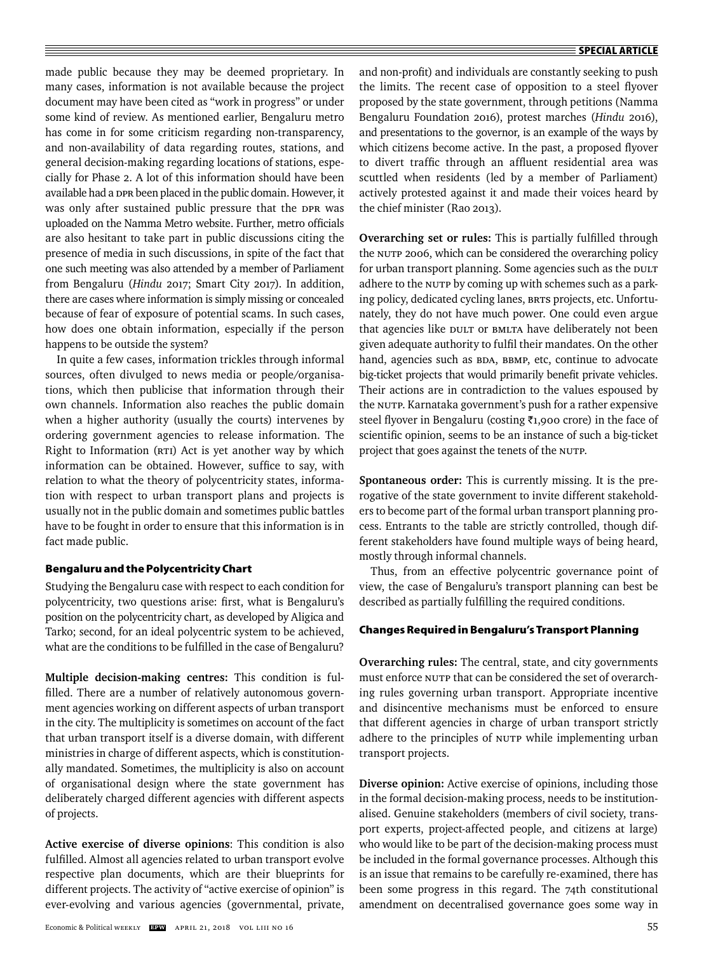made public because they may be deemed proprietary. In many cases, information is not available because the project document may have been cited as "work in progress" or under some kind of review. As mentioned earlier, Bengaluru metro has come in for some criticism regarding non-transparency, and non-availability of data regarding routes, stations, and general decision-making regarding locations of stations, especially for Phase 2. A lot of this information should have been available had a DPR been placed in the public domain. However, it was only after sustained public pressure that the DPR was uploaded on the Namma Metro website. Further, metro officials are also hesitant to take part in public discussions citing the presence of media in such discussions, in spite of the fact that one such meeting was also attended by a member of Parliament from Bengaluru (*Hindu* 2017; Smart City 2017). In addition, there are cases where information is simply missing or concealed because of fear of exposure of potential scams. In such cases, how does one obtain information, especially if the person happens to be outside the system?

In quite a few cases, information trickles through informal sources, often divulged to news media or people/organisations, which then publicise that information through their own channels. Information also reaches the public domain when a higher authority (usually the courts) intervenes by ordering government agencies to release information. The Right to Information (RTI) Act is yet another way by which information can be obtained. However, suffice to say, with relation to what the theory of polycentricity states, information with respect to urban transport plans and projects is usually not in the public domain and sometimes public battles have to be fought in order to ensure that this information is in fact made public.

# **Bengaluru and the Polycentricity Chart**

Studying the Bengaluru case with respect to each condition for polycentricity, two questions arise: first, what is Bengaluru's position on the polycentricity chart, as developed by Aligica and Tarko; second, for an ideal polycentric system to be achieved, what are the conditions to be fulfilled in the case of Bengaluru?

**Multiple decision-making centres:** This condition is fulfilled. There are a number of relatively autonomous government agencies working on different aspects of urban transport in the city. The multiplicity is sometimes on account of the fact that urban transport itself is a diverse domain, with different ministries in charge of different aspects, which is constitutionally mandated. Sometimes, the multiplicity is also on account of organisational design where the state government has deliberately charged different agencies with different aspects of projects.

**Active exercise of diverse opinions**: This condition is also fulfilled. Almost all agencies related to urban transport evolve respective plan documents, which are their blueprints for different projects. The activity of "active exercise of opinion" is ever-evolving and various agencies (governmental, private, and non-profit) and individuals are constantly seeking to push the limits. The recent case of opposition to a steel flyover proposed by the state government, through petitions (Namma Bengaluru Foundation 2016), protest marches (*Hindu* 2016), and presentations to the governor, is an example of the ways by which citizens become active. In the past, a proposed flyover to divert traffic through an affluent residential area was scuttled when residents (led by a member of Parliament) actively protested against it and made their voices heard by the chief minister (Rao 2013).

**Overarching set or rules:** This is partially fulfilled through the NUTP 2006, which can be considered the overarching policy for urban transport planning. Some agencies such as the DULT adhere to the NUTP by coming up with schemes such as a parking policy, dedicated cycling lanes, BRTS projects, etc. Unfortunately, they do not have much power. One could even argue that agencies like DULT or BMLTA have deliberately not been given adequate authority to fulfil their mandates. On the other hand, agencies such as BDA, BBMP, etc, continue to advocate big-ticket projects that would primarily benefit private vehicles. Their actions are in contradiction to the values espoused by the NUTP. Karnataka government's push for a rather expensive steel flyover in Bengaluru (costing ₹1,900 crore) in the face of scientific opinion, seems to be an instance of such a big-ticket project that goes against the tenets of the NUTP.

**Spontaneous order:** This is currently missing. It is the prerogative of the state government to invite different stakeholders to become part of the formal urban transport planning process. Entrants to the table are strictly controlled, though different stakeholders have found multiple ways of being heard, mostly through informal channels.

Thus, from an effective polycentric governance point of view, the case of Bengaluru's transport planning can best be described as partially fulfilling the required conditions.

# **Changes Required in Bengaluru's Transport Planning**

**Overarching rules:** The central, state, and city governments must enforce NUTP that can be considered the set of overarching rules governing urban transport. Appropriate incentive and disincentive mechanisms must be enforced to ensure that different agencies in charge of urban transport strictly adhere to the principles of NUTP while implementing urban transport projects.

**Diverse opinion:** Active exercise of opinions, including those in the formal decision-making process, needs to be institutionalised. Genuine stakeholders (members of civil society, transport experts, project-affected people, and citizens at large) who would like to be part of the decision-making process must be included in the formal governance processes. Although this is an issue that remains to be carefully re-examined, there has been some progress in this regard. The 74th constitutional amendment on decentralised governance goes some way in